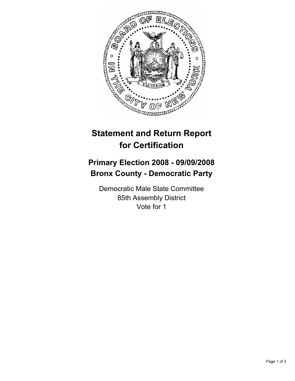

## **Statement and Return Report for Certification**

## **Primary Election 2008 - 09/09/2008 Bronx County - Democratic Party**

Democratic Male State Committee 85th Assembly District Vote for 1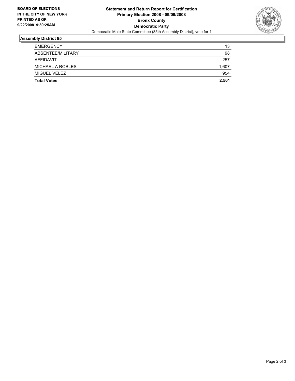

## **Assembly District 85**

| <b>Total Votes</b> | 2,561 |
|--------------------|-------|
| MIGUEL VELEZ       | 954   |
| MICHAEL A ROBLES   | 1,607 |
| AFFIDAVIT          | 257   |
| ABSENTEE/MILITARY  | 98    |
| <b>EMERGENCY</b>   | 13    |